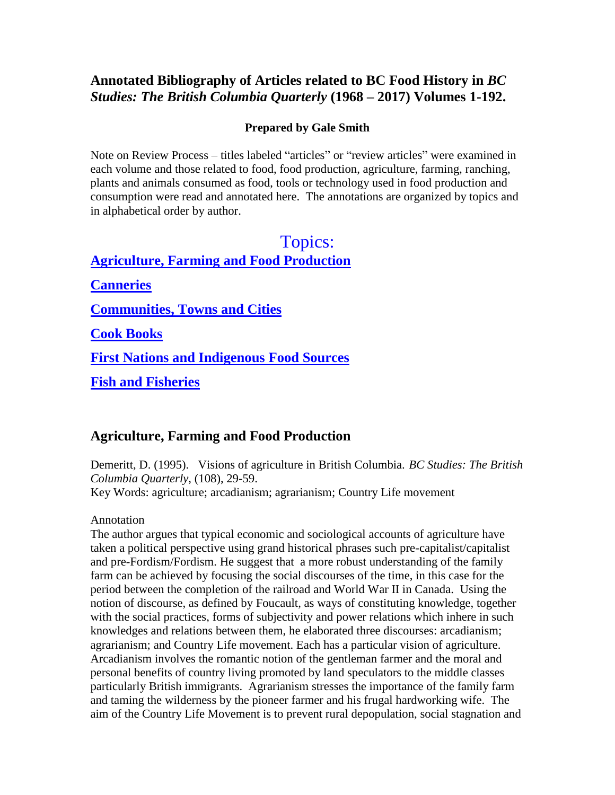# **Annotated Bibliography of Articles related to BC Food History in** *BC Studies: The British Columbia Quarterly* **(1968 – 2017) Volumes 1-192.**

# **Prepared by Gale Smith**

Note on Review Process – titles labeled "articles" or "review articles" were examined in each volume and those related to food, food production, agriculture, farming, ranching, plants and animals consumed as food, tools or technology used in food production and consumption were read and annotated here. The annotations are organized by topics and in alphabetical order by author.

# [Topics:](#page-0-0)

<span id="page-0-0"></span>**[Agriculture, Farming and Food Production](#page-0-0) [Canneries](#page-4-0) [Communities, Towns and Cities](#page-5-0)**

**[Cook Books](#page-6-0)**

**[First Nations and Indigenous Food Sources](#page-7-0)**

**[Fish and Fisheries](#page-13-0)**

# **Agriculture, Farming and Food Production**

Demeritt, D. (1995). Visions of agriculture in British Columbia. *BC Studies: The British Columbia Quarterly*, (108), 29-59. Key Words: agriculture; arcadianism; agrarianism; Country Life movement

# Annotation

The author argues that typical economic and sociological accounts of agriculture have taken a political perspective using grand historical phrases such pre-capitalist/capitalist and pre-Fordism/Fordism. He suggest that a more robust understanding of the family farm can be achieved by focusing the social discourses of the time, in this case for the period between the completion of the railroad and World War II in Canada. Using the notion of discourse, as defined by Foucault, as ways of constituting knowledge, together with the social practices, forms of subjectivity and power relations which inhere in such knowledges and relations between them, he elaborated three discourses: arcadianism; agrarianism; and Country Life movement. Each has a particular vision of agriculture. Arcadianism involves the romantic notion of the gentleman farmer and the moral and personal benefits of country living promoted by land speculators to the middle classes particularly British immigrants. Agrarianism stresses the importance of the family farm and taming the wilderness by the pioneer farmer and his frugal hardworking wife. The aim of the Country Life Movement is to prevent rural depopulation, social stagnation and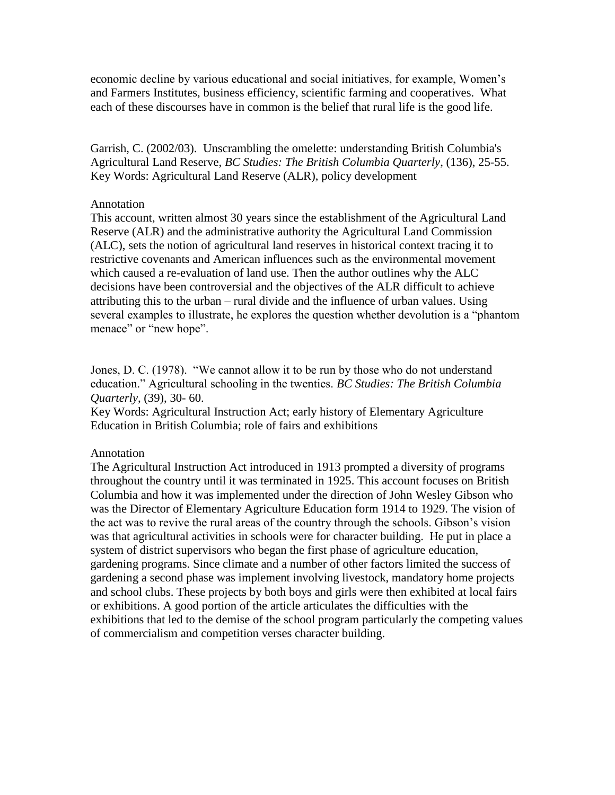economic decline by various educational and social initiatives, for example, Women's and Farmers Institutes, business efficiency, scientific farming and cooperatives. What each of these discourses have in common is the belief that rural life is the good life.

Garrish, C. (2002/03). Unscrambling the omelette: understanding British Columbia's Agricultural Land Reserve, *BC Studies: The British Columbia Quarterly*, (136), 25-55. Key Words: Agricultural Land Reserve (ALR), policy development

## Annotation

This account, written almost 30 years since the establishment of the Agricultural Land Reserve (ALR) and the administrative authority the Agricultural Land Commission (ALC), sets the notion of agricultural land reserves in historical context tracing it to restrictive covenants and American influences such as the environmental movement which caused a re-evaluation of land use. Then the author outlines why the ALC decisions have been controversial and the objectives of the ALR difficult to achieve attributing this to the urban – rural divide and the influence of urban values. Using several examples to illustrate, he explores the question whether devolution is a "phantom menace" or "new hope".

Jones, D. C. (1978). "We cannot allow it to be run by those who do not understand education." Agricultural schooling in the twenties. *BC Studies: The British Columbia Quarterly*, (39), 30- 60.

Key Words: Agricultural Instruction Act; early history of Elementary Agriculture Education in British Columbia; role of fairs and exhibitions

## Annotation

The Agricultural Instruction Act introduced in 1913 prompted a diversity of programs throughout the country until it was terminated in 1925. This account focuses on British Columbia and how it was implemented under the direction of John Wesley Gibson who was the Director of Elementary Agriculture Education form 1914 to 1929. The vision of the act was to revive the rural areas of the country through the schools. Gibson's vision was that agricultural activities in schools were for character building. He put in place a system of district supervisors who began the first phase of agriculture education, gardening programs. Since climate and a number of other factors limited the success of gardening a second phase was implement involving livestock, mandatory home projects and school clubs. These projects by both boys and girls were then exhibited at local fairs or exhibitions. A good portion of the article articulates the difficulties with the exhibitions that led to the demise of the school program particularly the competing values of commercialism and competition verses character building.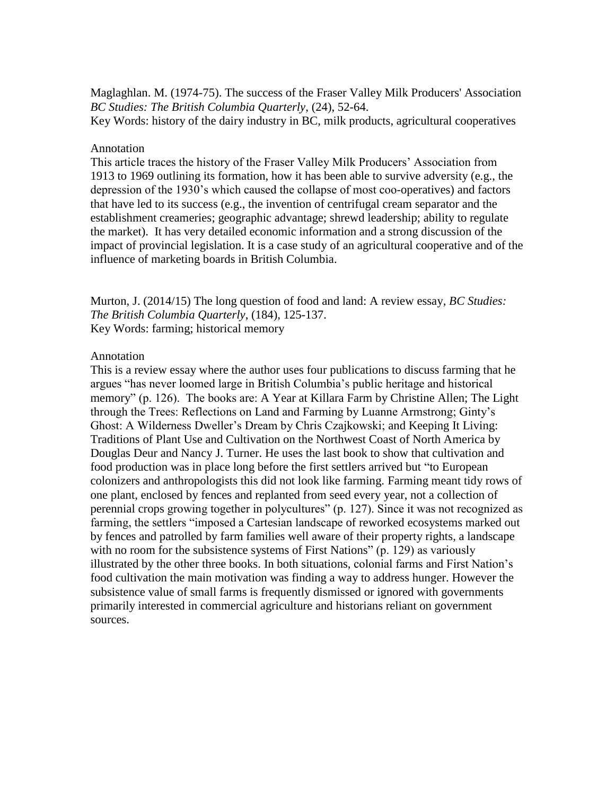Maglaghlan. M. (1974-75). The success of the Fraser Valley Milk Producers' Association *BC Studies: The British Columbia Quarterly*, (24), 52-64.

Key Words: history of the dairy industry in BC, milk products, agricultural cooperatives

## Annotation

This article traces the history of the Fraser Valley Milk Producers' Association from 1913 to 1969 outlining its formation, how it has been able to survive adversity (e.g., the depression of the 1930's which caused the collapse of most coo-operatives) and factors that have led to its success (e.g., the invention of centrifugal cream separator and the establishment creameries; geographic advantage; shrewd leadership; ability to regulate the market). It has very detailed economic information and a strong discussion of the impact of provincial legislation. It is a case study of an agricultural cooperative and of the influence of marketing boards in British Columbia.

Murton, J. (2014/15) The long question of food and land: A review essay, *BC Studies: The British Columbia Quarterly*, (184), 125-137. Key Words: farming; historical memory

## Annotation

This is a review essay where the author uses four publications to discuss farming that he argues "has never loomed large in British Columbia's public heritage and historical memory" (p. 126). The books are: A Year at Killara Farm by Christine Allen; The Light through the Trees: Reflections on Land and Farming by Luanne Armstrong; Ginty's Ghost: A Wilderness Dweller's Dream by Chris Czajkowski; and Keeping It Living: Traditions of Plant Use and Cultivation on the Northwest Coast of North America by Douglas Deur and Nancy J. Turner. He uses the last book to show that cultivation and food production was in place long before the first settlers arrived but "to European colonizers and anthropologists this did not look like farming. Farming meant tidy rows of one plant, enclosed by fences and replanted from seed every year, not a collection of perennial crops growing together in polycultures" (p. 127). Since it was not recognized as farming, the settlers "imposed a Cartesian landscape of reworked ecosystems marked out by fences and patrolled by farm families well aware of their property rights, a landscape with no room for the subsistence systems of First Nations" (p. 129) as variously illustrated by the other three books. In both situations, colonial farms and First Nation's food cultivation the main motivation was finding a way to address hunger. However the subsistence value of small farms is frequently dismissed or ignored with governments primarily interested in commercial agriculture and historians reliant on government sources.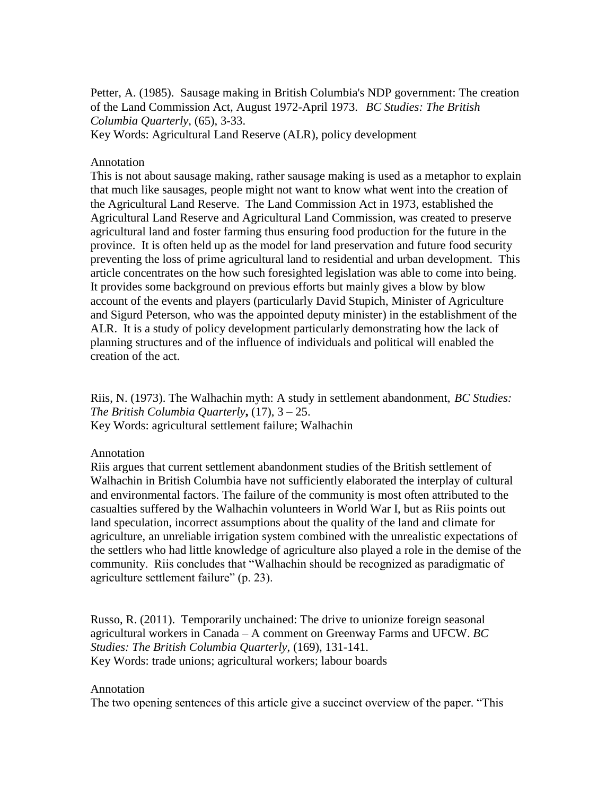Petter, A. (1985). Sausage making in British Columbia's NDP government: The creation of the Land Commission Act, August 1972-April 1973. *BC Studies: The British Columbia Quarterly*, (65), 3-33.

Key Words: Agricultural Land Reserve (ALR), policy development

### Annotation

This is not about sausage making, rather sausage making is used as a metaphor to explain that much like sausages, people might not want to know what went into the creation of the Agricultural Land Reserve. The Land Commission Act in 1973, established the Agricultural Land Reserve and Agricultural Land Commission, was created to preserve agricultural land and foster farming thus ensuring food production for the future in the province. It is often held up as the model for land preservation and future food security preventing the loss of prime agricultural land to residential and urban development. This article concentrates on the how such foresighted legislation was able to come into being. It provides some background on previous efforts but mainly gives a blow by blow account of the events and players (particularly David Stupich, Minister of Agriculture and Sigurd Peterson, who was the appointed deputy minister) in the establishment of the ALR. It is a study of policy development particularly demonstrating how the lack of planning structures and of the influence of individuals and political will enabled the creation of the act.

Riis, N. (1973). The Walhachin myth: A study in settlement abandonment, *BC Studies: The British Columbia Quarterly***,** (17), 3 – 25. Key Words: agricultural settlement failure; Walhachin

### Annotation

Riis argues that current settlement abandonment studies of the British settlement of Walhachin in British Columbia have not sufficiently elaborated the interplay of cultural and environmental factors. The failure of the community is most often attributed to the casualties suffered by the Walhachin volunteers in World War I, but as Riis points out land speculation, incorrect assumptions about the quality of the land and climate for agriculture, an unreliable irrigation system combined with the unrealistic expectations of the settlers who had little knowledge of agriculture also played a role in the demise of the community. Riis concludes that "Walhachin should be recognized as paradigmatic of agriculture settlement failure" (p. 23).

Russo, R. (2011). Temporarily unchained: The drive to unionize foreign seasonal agricultural workers in Canada – A comment on Greenway Farms and UFCW. *BC Studies: The British Columbia Quarterly*, (169), 131-141. Key Words: trade unions; agricultural workers; labour boards

#### Annotation

The two opening sentences of this article give a succinct overview of the paper. "This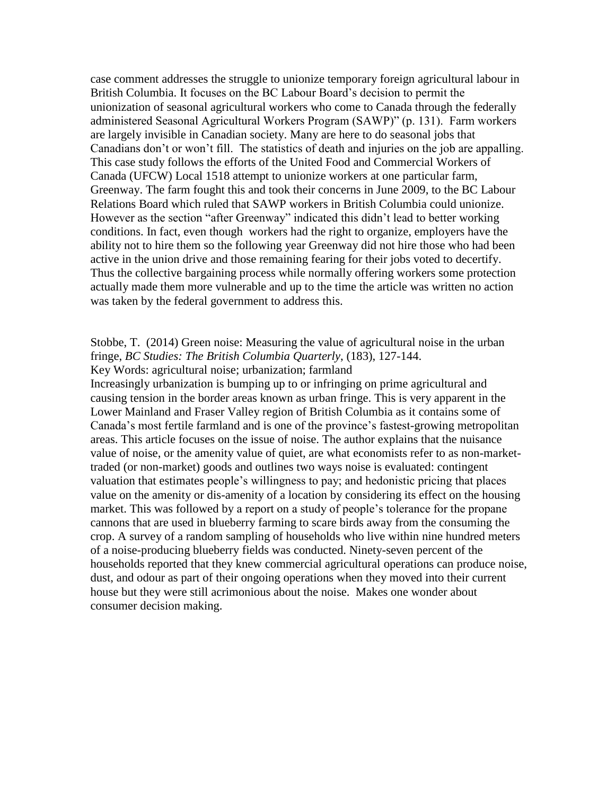case comment addresses the struggle to unionize temporary foreign agricultural labour in British Columbia. It focuses on the BC Labour Board's decision to permit the unionization of seasonal agricultural workers who come to Canada through the federally administered Seasonal Agricultural Workers Program (SAWP)" (p. 131). Farm workers are largely invisible in Canadian society. Many are here to do seasonal jobs that Canadians don't or won't fill. The statistics of death and injuries on the job are appalling. This case study follows the efforts of the United Food and Commercial Workers of Canada (UFCW) Local 1518 attempt to unionize workers at one particular farm, Greenway. The farm fought this and took their concerns in June 2009, to the BC Labour Relations Board which ruled that SAWP workers in British Columbia could unionize. However as the section "after Greenway" indicated this didn't lead to better working conditions. In fact, even though workers had the right to organize, employers have the ability not to hire them so the following year Greenway did not hire those who had been active in the union drive and those remaining fearing for their jobs voted to decertify. Thus the collective bargaining process while normally offering workers some protection actually made them more vulnerable and up to the time the article was written no action was taken by the federal government to address this.

# Stobbe, T. (2014) Green noise: Measuring the value of agricultural noise in the urban fringe, *BC Studies: The British Columbia Quarterly*, (183), 127-144.

Key Words: agricultural noise; urbanization; farmland

<span id="page-4-0"></span>Increasingly urbanization is bumping up to or infringing on prime agricultural and causing tension in the border areas known as urban fringe. This is very apparent in the Lower Mainland and Fraser Valley region of British Columbia as it contains some of Canada's most fertile farmland and is one of the province's fastest-growing metropolitan areas. This article focuses on the issue of noise. The author explains that the nuisance value of noise, or the amenity value of quiet, are what economists refer to as non-markettraded (or non-market) goods and outlines two ways noise is evaluated: contingent valuation that estimates people's willingness to pay; and hedonistic pricing that places value on the amenity or dis-amenity of a location by considering its effect on the housing market. This was followed by a report on a study of people's tolerance for the propane cannons that are used in blueberry farming to scare birds away from the consuming the crop. A survey of a random sampling of households who live within nine hundred meters of a noise-producing blueberry fields was conducted. Ninety-seven percent of the households reported that they knew commercial agricultural operations can produce noise, dust, and odour as part of their ongoing operations when they moved into their current house but they were still acrimonious about the noise. Makes one wonder about consumer decision making.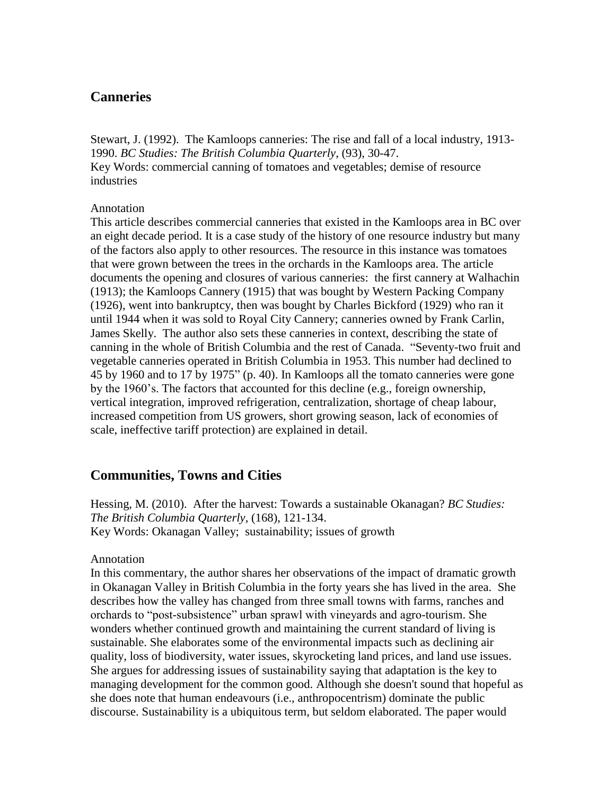# **Canneries**

Stewart, J. (1992). The Kamloops canneries: The rise and fall of a local industry, 1913- 1990. *BC Studies: The British Columbia Quarterly*, (93), 30-47. Key Words: commercial canning of tomatoes and vegetables; demise of resource industries

## Annotation

This article describes commercial canneries that existed in the Kamloops area in BC over an eight decade period. It is a case study of the history of one resource industry but many of the factors also apply to other resources. The resource in this instance was tomatoes that were grown between the trees in the orchards in the Kamloops area. The article documents the opening and closures of various canneries: the first cannery at Walhachin (1913); the Kamloops Cannery (1915) that was bought by Western Packing Company (1926), went into bankruptcy, then was bought by Charles Bickford (1929) who ran it until 1944 when it was sold to Royal City Cannery; canneries owned by Frank Carlin, James Skelly. The author also sets these canneries in context, describing the state of canning in the whole of British Columbia and the rest of Canada. "Seventy-two fruit and vegetable canneries operated in British Columbia in 1953. This number had declined to 45 by 1960 and to 17 by 1975" (p. 40). In Kamloops all the tomato canneries were gone by the 1960's. The factors that accounted for this decline (e.g., foreign ownership, vertical integration, improved refrigeration, centralization, shortage of cheap labour, increased competition from US growers, short growing season, lack of economies of scale, ineffective tariff protection) are explained in detail.

# <span id="page-5-0"></span>**Communities, Towns and Cities**

Hessing, M. (2010). After the harvest: Towards a sustainable Okanagan? *BC Studies: The British Columbia Quarterly*, (168), 121-134. Key Words: Okanagan Valley; sustainability; issues of growth

#### Annotation

In this commentary, the author shares her observations of the impact of dramatic growth in Okanagan Valley in British Columbia in the forty years she has lived in the area. She describes how the valley has changed from three small towns with farms, ranches and orchards to "post-subsistence" urban sprawl with vineyards and agro-tourism. She wonders whether continued growth and maintaining the current standard of living is sustainable. She elaborates some of the environmental impacts such as declining air quality, loss of biodiversity, water issues, skyrocketing land prices, and land use issues. She argues for addressing issues of sustainability saying that adaptation is the key to managing development for the common good. Although she doesn't sound that hopeful as she does note that human endeavours (i.e., anthropocentrism) dominate the public discourse. Sustainability is a ubiquitous term, but seldom elaborated. The paper would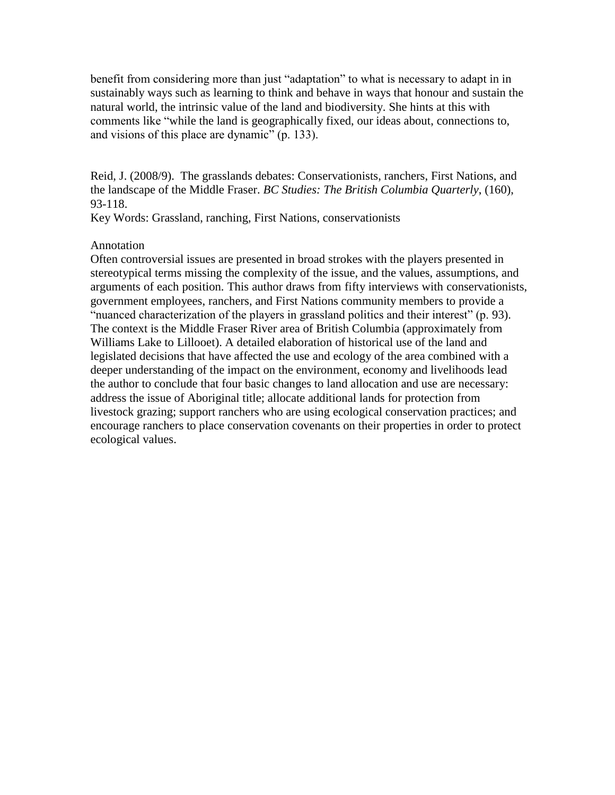benefit from considering more than just "adaptation" to what is necessary to adapt in in sustainably ways such as learning to think and behave in ways that honour and sustain the natural world, the intrinsic value of the land and biodiversity. She hints at this with comments like "while the land is geographically fixed, our ideas about, connections to, and visions of this place are dynamic" (p. 133).

Reid, J. (2008/9). The grasslands debates: Conservationists, ranchers, First Nations, and the landscape of the Middle Fraser. *BC Studies: The British Columbia Quarterly*, (160), 93-118.

Key Words: Grassland, ranching, First Nations, conservationists

# Annotation

<span id="page-6-0"></span>Often controversial issues are presented in broad strokes with the players presented in stereotypical terms missing the complexity of the issue, and the values, assumptions, and arguments of each position. This author draws from fifty interviews with conservationists, government employees, ranchers, and First Nations community members to provide a "nuanced characterization of the players in grassland politics and their interest" (p. 93). The context is the Middle Fraser River area of British Columbia (approximately from Williams Lake to Lillooet). A detailed elaboration of historical use of the land and legislated decisions that have affected the use and ecology of the area combined with a deeper understanding of the impact on the environment, economy and livelihoods lead the author to conclude that four basic changes to land allocation and use are necessary: address the issue of Aboriginal title; allocate additional lands for protection from livestock grazing; support ranchers who are using ecological conservation practices; and encourage ranchers to place conservation covenants on their properties in order to protect ecological values.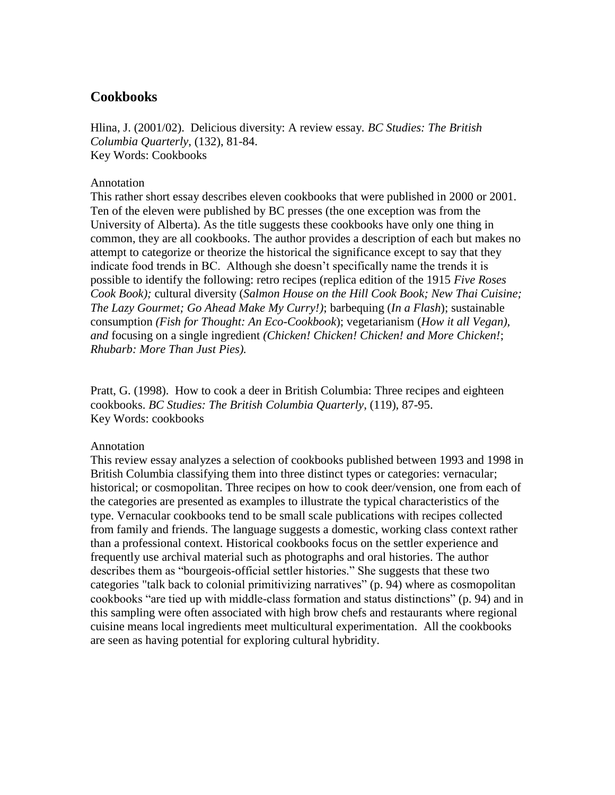# **Cookbooks**

Hlina, J. (2001/02). Delicious diversity: A review essay*. BC Studies: The British Columbia Quarterly*, (132), 81-84. Key Words: Cookbooks

### Annotation

This rather short essay describes eleven cookbooks that were published in 2000 or 2001. Ten of the eleven were published by BC presses (the one exception was from the University of Alberta). As the title suggests these cookbooks have only one thing in common, they are all cookbooks. The author provides a description of each but makes no attempt to categorize or theorize the historical the significance except to say that they indicate food trends in BC. Although she doesn't specifically name the trends it is possible to identify the following: retro recipes (replica edition of the 1915 *Five Roses Cook Book);* cultural diversity (*Salmon House on the Hill Cook Book; New Thai Cuisine; The Lazy Gourmet; Go Ahead Make My Curry!)*; barbequing (*In a Flash*); sustainable consumption *(Fish for Thought: An Eco-Cookbook*); vegetarianism (*How it all Vegan), and* focusing on a single ingredient *(Chicken! Chicken! Chicken! and More Chicken!*; *Rhubarb: More Than Just Pies).*

Pratt, G. (1998). How to cook a deer in British Columbia: Three recipes and eighteen cookbooks. *BC Studies: The British Columbia Quarterly*, (119), 87-95. Key Words: cookbooks

## Annotation

<span id="page-7-0"></span>This review essay analyzes a selection of cookbooks published between 1993 and 1998 in British Columbia classifying them into three distinct types or categories: vernacular; historical; or cosmopolitan. Three recipes on how to cook deer/vension, one from each of the categories are presented as examples to illustrate the typical characteristics of the type. Vernacular cookbooks tend to be small scale publications with recipes collected from family and friends. The language suggests a domestic, working class context rather than a professional context. Historical cookbooks focus on the settler experience and frequently use archival material such as photographs and oral histories. The author describes them as "bourgeois-official settler histories." She suggests that these two categories "talk back to colonial primitivizing narratives" (p. 94) where as cosmopolitan cookbooks "are tied up with middle-class formation and status distinctions" (p. 94) and in this sampling were often associated with high brow chefs and restaurants where regional cuisine means local ingredients meet multicultural experimentation. All the cookbooks are seen as having potential for exploring cultural hybridity.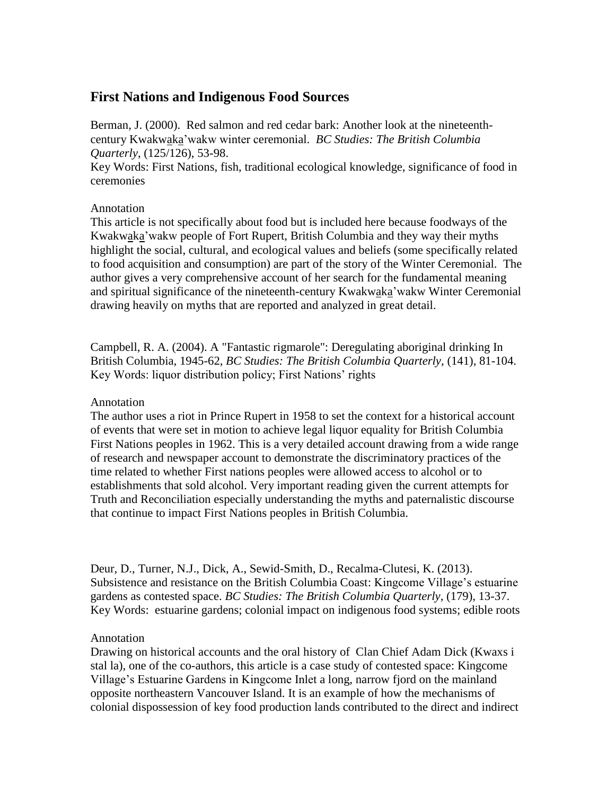# **First Nations and Indigenous Food Sources**

Berman, J. (2000). Red salmon and red cedar bark: Another look at the nineteenthcentury Kwakwaka'wakw winter ceremonial. *BC Studies: The British Columbia Quarterly*, (125/126), 53-98.

Key Words: First Nations, fish, traditional ecological knowledge, significance of food in ceremonies

# Annotation

This article is not specifically about food but is included here because foodways of the Kwakwaka'wakw people of Fort Rupert, British Columbia and they way their myths highlight the social, cultural, and ecological values and beliefs (some specifically related to food acquisition and consumption) are part of the story of the Winter Ceremonial. The author gives a very comprehensive account of her search for the fundamental meaning and spiritual significance of the nineteenth-century Kwakwaka'wakw Winter Ceremonial drawing heavily on myths that are reported and analyzed in great detail.

Campbell, R. A. (2004). A "Fantastic rigmarole": Deregulating aboriginal drinking In British Columbia, 1945-62, *BC Studies: The British Columbia Quarterly*, (141), 81-104. Key Words: liquor distribution policy; First Nations' rights

# Annotation

The author uses a riot in Prince Rupert in 1958 to set the context for a historical account of events that were set in motion to achieve legal liquor equality for British Columbia First Nations peoples in 1962. This is a very detailed account drawing from a wide range of research and newspaper account to demonstrate the discriminatory practices of the time related to whether First nations peoples were allowed access to alcohol or to establishments that sold alcohol. Very important reading given the current attempts for Truth and Reconciliation especially understanding the myths and paternalistic discourse that continue to impact First Nations peoples in British Columbia.

Deur, D., Turner, N.J., Dick, A., Sewid-Smith, D., Recalma-Clutesi, K. (2013). Subsistence and resistance on the British Columbia Coast: Kingcome Village's estuarine gardens as contested space. *BC Studies: The British Columbia Quarterly*, (179), 13-37. Key Words: estuarine gardens; colonial impact on indigenous food systems; edible roots

# Annotation

Drawing on historical accounts and the oral history of Clan Chief Adam Dick (Kwaxs i stal la), one of the co-authors, this article is a case study of contested space: Kingcome Village's Estuarine Gardens in Kingcome Inlet a long, narrow fjord on the mainland opposite northeastern Vancouver Island. It is an example of how the mechanisms of colonial dispossession of key food production lands contributed to the direct and indirect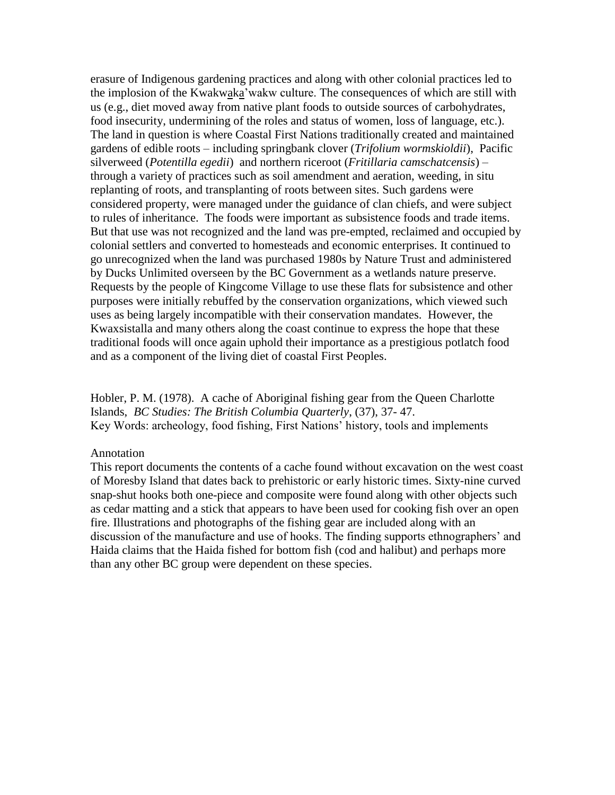erasure of Indigenous gardening practices and along with other colonial practices led to the implosion of the Kwakwaka'wakw culture. The consequences of which are still with us (e.g., diet moved away from native plant foods to outside sources of carbohydrates, food insecurity, undermining of the roles and status of women, loss of language, etc.). The land in question is where Coastal First Nations traditionally created and maintained gardens of edible roots – including springbank clover (*Trifolium wormskioldii*), Pacific silverweed (*Potentilla egedii*) and northern riceroot (*Fritillaria camschatcensis*) – through a variety of practices such as soil amendment and aeration, weeding, in situ replanting of roots, and transplanting of roots between sites. Such gardens were considered property, were managed under the guidance of clan chiefs, and were subject to rules of inheritance. The foods were important as subsistence foods and trade items. But that use was not recognized and the land was pre-empted, reclaimed and occupied by colonial settlers and converted to homesteads and economic enterprises. It continued to go unrecognized when the land was purchased 1980s by Nature Trust and administered by Ducks Unlimited overseen by the BC Government as a wetlands nature preserve. Requests by the people of Kingcome Village to use these flats for subsistence and other purposes were initially rebuffed by the conservation organizations, which viewed such uses as being largely incompatible with their conservation mandates. However, the Kwaxsistalla and many others along the coast continue to express the hope that these traditional foods will once again uphold their importance as a prestigious potlatch food and as a component of the living diet of coastal First Peoples.

Hobler, P. M. (1978). A cache of Aboriginal fishing gear from the Queen Charlotte Islands, *BC Studies: The British Columbia Quarterly*, (37), 37- 47. Key Words: archeology, food fishing, First Nations' history, tools and implements

#### Annotation

This report documents the contents of a cache found without excavation on the west coast of Moresby Island that dates back to prehistoric or early historic times. Sixty-nine curved snap-shut hooks both one-piece and composite were found along with other objects such as cedar matting and a stick that appears to have been used for cooking fish over an open fire. Illustrations and photographs of the fishing gear are included along with an discussion of the manufacture and use of hooks. The finding supports ethnographers' and Haida claims that the Haida fished for bottom fish (cod and halibut) and perhaps more than any other BC group were dependent on these species.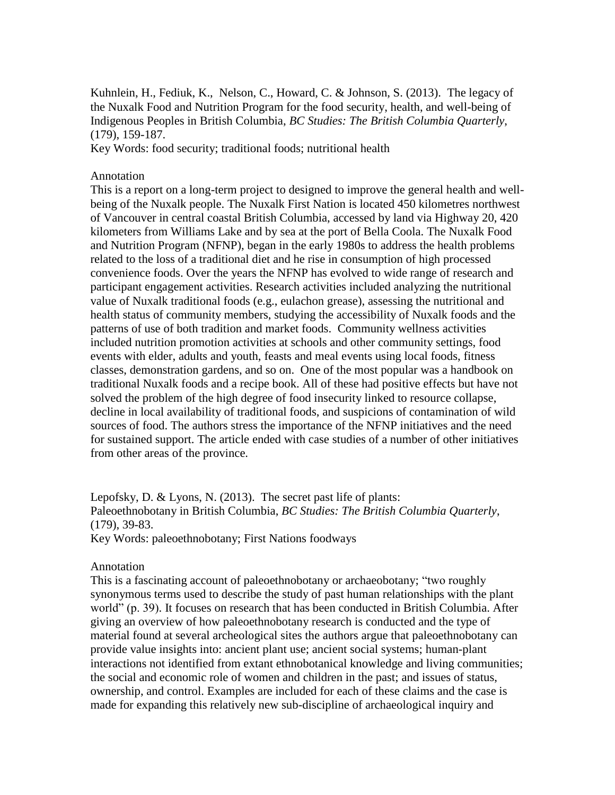Kuhnlein, H., Fediuk, K., Nelson, C., Howard, C. & Johnson, S. (2013). The legacy of the Nuxalk Food and Nutrition Program for the food security, health, and well-being of Indigenous Peoples in British Columbia, *BC Studies: The British Columbia Quarterly*, (179), 159-187.

Key Words: food security; traditional foods; nutritional health

#### Annotation

This is a report on a long-term project to designed to improve the general health and wellbeing of the Nuxalk people. The Nuxalk First Nation is located 450 kilometres northwest of Vancouver in central coastal British Columbia, accessed by land via Highway 20, 420 kilometers from Williams Lake and by sea at the port of Bella Coola. The Nuxalk Food and Nutrition Program (NFNP), began in the early 1980s to address the health problems related to the loss of a traditional diet and he rise in consumption of high processed convenience foods. Over the years the NFNP has evolved to wide range of research and participant engagement activities. Research activities included analyzing the nutritional value of Nuxalk traditional foods (e.g., eulachon grease), assessing the nutritional and health status of community members, studying the accessibility of Nuxalk foods and the patterns of use of both tradition and market foods. Community wellness activities included nutrition promotion activities at schools and other community settings, food events with elder, adults and youth, feasts and meal events using local foods, fitness classes, demonstration gardens, and so on. One of the most popular was a handbook on traditional Nuxalk foods and a recipe book. All of these had positive effects but have not solved the problem of the high degree of food insecurity linked to resource collapse, decline in local availability of traditional foods, and suspicions of contamination of wild sources of food. The authors stress the importance of the NFNP initiatives and the need for sustained support. The article ended with case studies of a number of other initiatives from other areas of the province.

Lepofsky, D. & Lyons, N. (2013). The secret past life of plants: Paleoethnobotany in British Columbia, *BC Studies: The British Columbia Quarterly*, (179), 39-83. Key Words: paleoethnobotany; First Nations foodways

#### Annotation

This is a fascinating account of paleoethnobotany or archaeobotany; "two roughly synonymous terms used to describe the study of past human relationships with the plant world" (p. 39). It focuses on research that has been conducted in British Columbia. After giving an overview of how paleoethnobotany research is conducted and the type of material found at several archeological sites the authors argue that paleoethnobotany can provide value insights into: ancient plant use; ancient social systems; human-plant interactions not identified from extant ethnobotanical knowledge and living communities; the social and economic role of women and children in the past; and issues of status, ownership, and control. Examples are included for each of these claims and the case is made for expanding this relatively new sub-discipline of archaeological inquiry and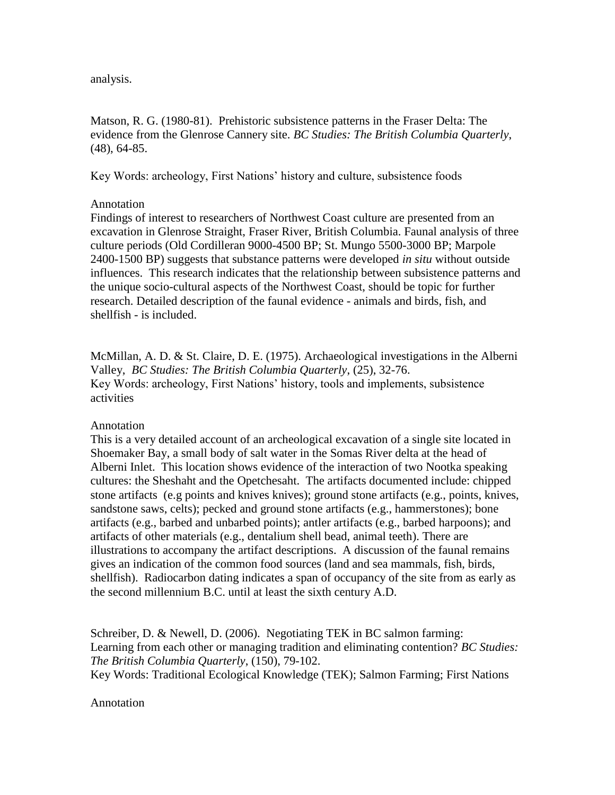analysis.

Matson, R. G. (1980-81). Prehistoric subsistence patterns in the Fraser Delta: The evidence from the Glenrose Cannery site. *BC Studies: The British Columbia Quarterly*, (48), 64-85.

Key Words: archeology, First Nations' history and culture, subsistence foods

# Annotation

Findings of interest to researchers of Northwest Coast culture are presented from an excavation in Glenrose Straight, Fraser River, British Columbia. Faunal analysis of three culture periods (Old Cordilleran 9000-4500 BP; St. Mungo 5500-3000 BP; Marpole 2400-1500 BP) suggests that substance patterns were developed *in situ* without outside influences. This research indicates that the relationship between subsistence patterns and the unique socio-cultural aspects of the Northwest Coast, should be topic for further research. Detailed description of the faunal evidence - animals and birds, fish, and shellfish - is included.

McMillan, A. D. & St. Claire, D. E. (1975). Archaeological investigations in the Alberni Valley, *BC Studies: The British Columbia Quarterly*, (25), 32-76. Key Words: archeology, First Nations' history, tools and implements, subsistence activities

# Annotation

This is a very detailed account of an archeological excavation of a single site located in Shoemaker Bay, a small body of salt water in the Somas River delta at the head of Alberni Inlet. This location shows evidence of the interaction of two Nootka speaking cultures: the Sheshaht and the Opetchesaht. The artifacts documented include: chipped stone artifacts (e.g points and knives knives); ground stone artifacts (e.g., points, knives, sandstone saws, celts); pecked and ground stone artifacts (e.g., hammerstones); bone artifacts (e.g., barbed and unbarbed points); antler artifacts (e.g., barbed harpoons); and artifacts of other materials (e.g., dentalium shell bead, animal teeth). There are illustrations to accompany the artifact descriptions. A discussion of the faunal remains gives an indication of the common food sources (land and sea mammals, fish, birds, shellfish). Radiocarbon dating indicates a span of occupancy of the site from as early as the second millennium B.C. until at least the sixth century A.D.

Schreiber, D. & Newell, D. (2006). Negotiating TEK in BC salmon farming: Learning from each other or managing tradition and eliminating contention? *BC Studies: The British Columbia Quarterly*, (150), 79-102. Key Words: Traditional Ecological Knowledge (TEK); Salmon Farming; First Nations

## Annotation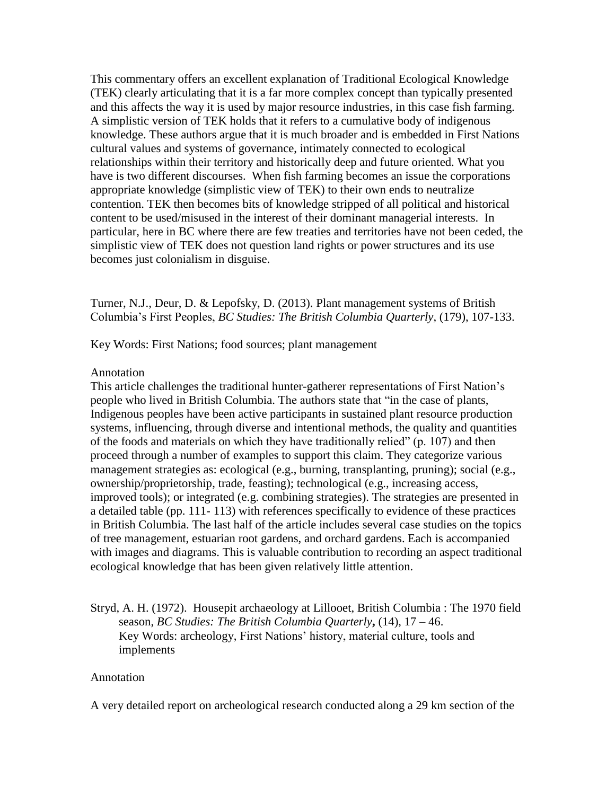This commentary offers an excellent explanation of Traditional Ecological Knowledge (TEK) clearly articulating that it is a far more complex concept than typically presented and this affects the way it is used by major resource industries, in this case fish farming. A simplistic version of TEK holds that it refers to a cumulative body of indigenous knowledge. These authors argue that it is much broader and is embedded in First Nations cultural values and systems of governance, intimately connected to ecological relationships within their territory and historically deep and future oriented. What you have is two different discourses. When fish farming becomes an issue the corporations appropriate knowledge (simplistic view of TEK) to their own ends to neutralize contention. TEK then becomes bits of knowledge stripped of all political and historical content to be used/misused in the interest of their dominant managerial interests. In particular, here in BC where there are few treaties and territories have not been ceded, the simplistic view of TEK does not question land rights or power structures and its use becomes just colonialism in disguise.

Turner, N.J., Deur, D. & Lepofsky, D. (2013). Plant management systems of British Columbia's First Peoples, *BC Studies: The British Columbia Quarterly*, (179), 107-133.

Key Words: First Nations; food sources; plant management

### Annotation

This article challenges the traditional hunter-gatherer representations of First Nation's people who lived in British Columbia. The authors state that "in the case of plants, Indigenous peoples have been active participants in sustained plant resource production systems, influencing, through diverse and intentional methods, the quality and quantities of the foods and materials on which they have traditionally relied" (p. 107) and then proceed through a number of examples to support this claim. They categorize various management strategies as: ecological (e.g., burning, transplanting, pruning); social (e.g., ownership/proprietorship, trade, feasting); technological (e.g., increasing access, improved tools); or integrated (e.g. combining strategies). The strategies are presented in a detailed table (pp. 111- 113) with references specifically to evidence of these practices in British Columbia. The last half of the article includes several case studies on the topics of tree management, estuarian root gardens, and orchard gardens. Each is accompanied with images and diagrams. This is valuable contribution to recording an aspect traditional ecological knowledge that has been given relatively little attention.

# Stryd, A. H. (1972). Housepit archaeology at Lillooet, British Columbia : The 1970 field season, *BC Studies: The British Columbia Quarterly***,** (14), 17 – 46. Key Words: archeology, First Nations' history, material culture, tools and implements

#### Annotation

A very detailed report on archeological research conducted along a 29 km section of the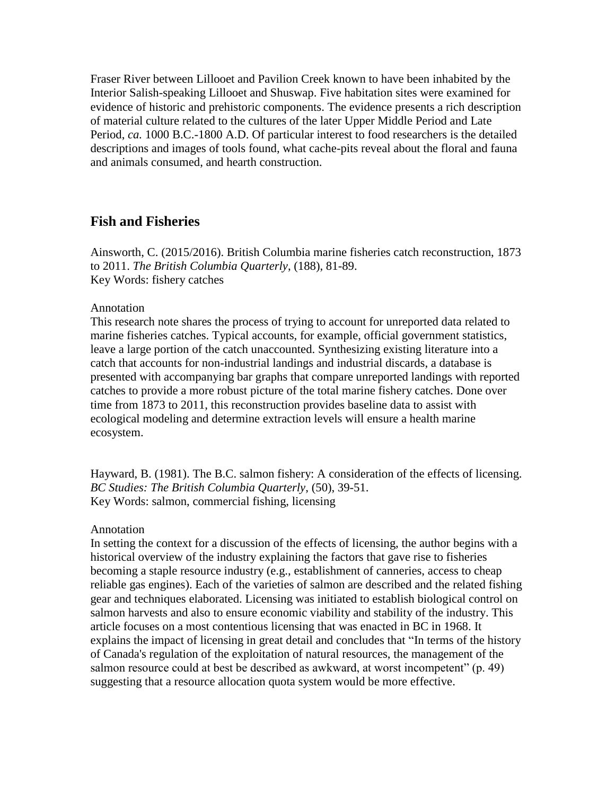Fraser River between Lillooet and Pavilion Creek known to have been inhabited by the Interior Salish-speaking Lillooet and Shuswap. Five habitation sites were examined for evidence of historic and prehistoric components. The evidence presents a rich description of material culture related to the cultures of the later Upper Middle Period and Late Period, *ca.* 1000 B.C.-1800 A.D. Of particular interest to food researchers is the detailed descriptions and images of tools found, what cache-pits reveal about the floral and fauna and animals consumed, and hearth construction.

# <span id="page-13-0"></span>**Fish and Fisheries**

Ainsworth, C. (2015/2016). British Columbia marine fisheries catch reconstruction, 1873 to 2011. *The British Columbia Quarterly*, (188), 81-89. Key Words: fishery catches

#### Annotation

This research note shares the process of trying to account for unreported data related to marine fisheries catches. Typical accounts, for example, official government statistics, leave a large portion of the catch unaccounted. Synthesizing existing literature into a catch that accounts for non-industrial landings and industrial discards, a database is presented with accompanying bar graphs that compare unreported landings with reported catches to provide a more robust picture of the total marine fishery catches. Done over time from 1873 to 2011, this reconstruction provides baseline data to assist with ecological modeling and determine extraction levels will ensure a health marine ecosystem.

Hayward, B. (1981). The B.C. salmon fishery: A consideration of the effects of licensing. *BC Studies: The British Columbia Quarterly*, (50), 39-51. Key Words: salmon, commercial fishing, licensing

#### Annotation

In setting the context for a discussion of the effects of licensing, the author begins with a historical overview of the industry explaining the factors that gave rise to fisheries becoming a staple resource industry (e.g., establishment of canneries, access to cheap reliable gas engines). Each of the varieties of salmon are described and the related fishing gear and techniques elaborated. Licensing was initiated to establish biological control on salmon harvests and also to ensure economic viability and stability of the industry. This article focuses on a most contentious licensing that was enacted in BC in 1968. It explains the impact of licensing in great detail and concludes that "In terms of the history of Canada's regulation of the exploitation of natural resources, the management of the salmon resource could at best be described as awkward, at worst incompetent" (p. 49) suggesting that a resource allocation quota system would be more effective.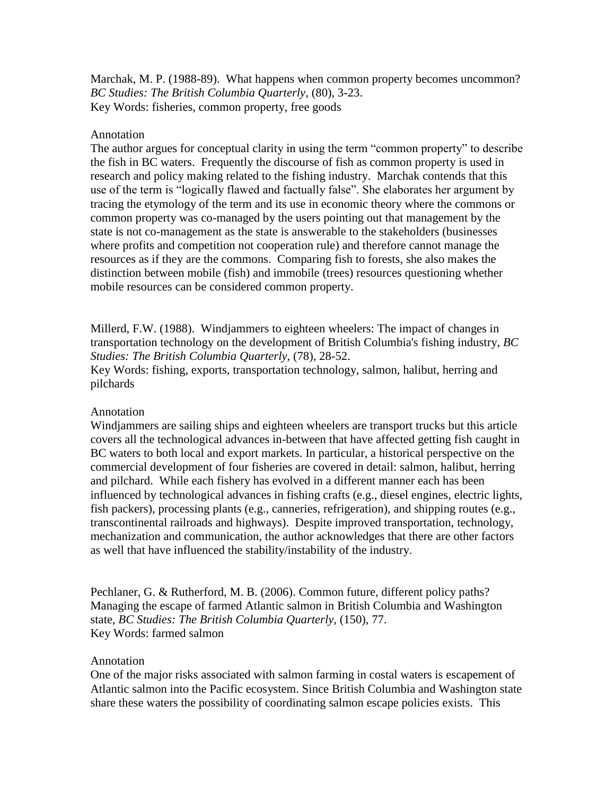Marchak, M. P. (1988-89). What happens when common property becomes uncommon? *BC Studies: The British Columbia Quarterly*, (80), 3-23. Key Words: fisheries, common property, free goods

### Annotation

The author argues for conceptual clarity in using the term "common property" to describe the fish in BC waters. Frequently the discourse of fish as common property is used in research and policy making related to the fishing industry. Marchak contends that this use of the term is "logically flawed and factually false". She elaborates her argument by tracing the etymology of the term and its use in economic theory where the commons or common property was co-managed by the users pointing out that management by the state is not co-management as the state is answerable to the stakeholders (businesses where profits and competition not cooperation rule) and therefore cannot manage the resources as if they are the commons. Comparing fish to forests, she also makes the distinction between mobile (fish) and immobile (trees) resources questioning whether mobile resources can be considered common property.

Millerd, F.W. (1988). Windjammers to eighteen wheelers: The impact of changes in transportation technology on the development of British Columbia's fishing industry, *BC Studies: The British Columbia Quarterly*, (78), 28-52.

Key Words: fishing, exports, transportation technology, salmon, halibut, herring and pilchards

## Annotation

Windjammers are sailing ships and eighteen wheelers are transport trucks but this article covers all the technological advances in-between that have affected getting fish caught in BC waters to both local and export markets. In particular, a historical perspective on the commercial development of four fisheries are covered in detail: salmon, halibut, herring and pilchard. While each fishery has evolved in a different manner each has been influenced by technological advances in fishing crafts (e.g., diesel engines, electric lights, fish packers), processing plants (e.g., canneries, refrigeration), and shipping routes (e.g., transcontinental railroads and highways). Despite improved transportation, technology, mechanization and communication, the author acknowledges that there are other factors as well that have influenced the stability/instability of the industry.

Pechlaner, G. & Rutherford, M. B. (2006). Common future, different policy paths? Managing the escape of farmed Atlantic salmon in British Columbia and Washington state, *BC Studies: The British Columbia Quarterly*, (150), 77. Key Words: farmed salmon

## Annotation

One of the major risks associated with salmon farming in costal waters is escapement of Atlantic salmon into the Pacific ecosystem. Since British Columbia and Washington state share these waters the possibility of coordinating salmon escape policies exists. This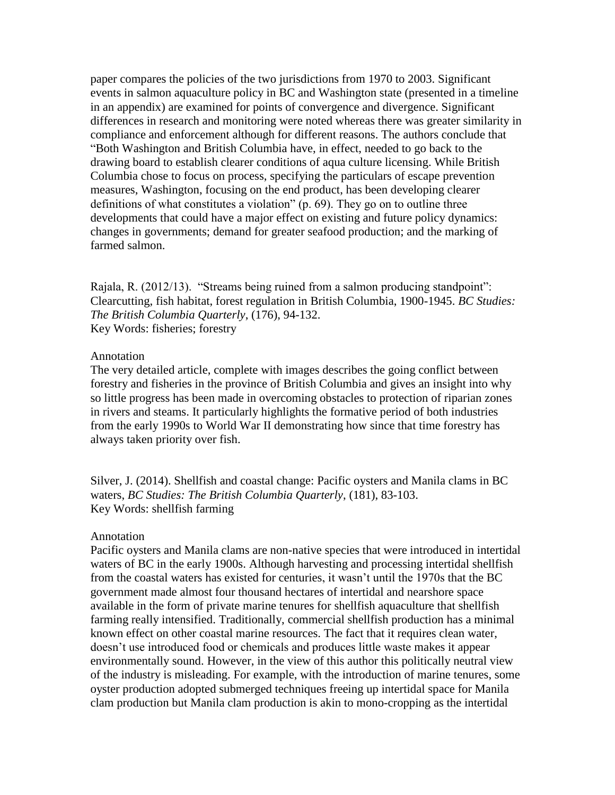paper compares the policies of the two jurisdictions from 1970 to 2003. Significant events in salmon aquaculture policy in BC and Washington state (presented in a timeline in an appendix) are examined for points of convergence and divergence. Significant differences in research and monitoring were noted whereas there was greater similarity in compliance and enforcement although for different reasons. The authors conclude that "Both Washington and British Columbia have, in effect, needed to go back to the drawing board to establish clearer conditions of aqua culture licensing. While British Columbia chose to focus on process, specifying the particulars of escape prevention measures, Washington, focusing on the end product, has been developing clearer definitions of what constitutes a violation" (p. 69). They go on to outline three developments that could have a major effect on existing and future policy dynamics: changes in governments; demand for greater seafood production; and the marking of farmed salmon.

Rajala, R. (2012/13). "Streams being ruined from a salmon producing standpoint": Clearcutting, fish habitat, forest regulation in British Columbia, 1900-1945. *BC Studies: The British Columbia Quarterly*, (176), 94-132. Key Words: fisheries; forestry

#### Annotation

The very detailed article, complete with images describes the going conflict between forestry and fisheries in the province of British Columbia and gives an insight into why so little progress has been made in overcoming obstacles to protection of riparian zones in rivers and steams. It particularly highlights the formative period of both industries from the early 1990s to World War II demonstrating how since that time forestry has always taken priority over fish.

Silver, J. (2014). Shellfish and coastal change: Pacific oysters and Manila clams in BC waters, *BC Studies: The British Columbia Quarterly*, (181), 83-103. Key Words: shellfish farming

#### Annotation

Pacific oysters and Manila clams are non-native species that were introduced in intertidal waters of BC in the early 1900s. Although harvesting and processing intertidal shellfish from the coastal waters has existed for centuries, it wasn't until the 1970s that the BC government made almost four thousand hectares of intertidal and nearshore space available in the form of private marine tenures for shellfish aquaculture that shellfish farming really intensified. Traditionally, commercial shellfish production has a minimal known effect on other coastal marine resources. The fact that it requires clean water, doesn't use introduced food or chemicals and produces little waste makes it appear environmentally sound. However, in the view of this author this politically neutral view of the industry is misleading. For example, with the introduction of marine tenures, some oyster production adopted submerged techniques freeing up intertidal space for Manila clam production but Manila clam production is akin to mono-cropping as the intertidal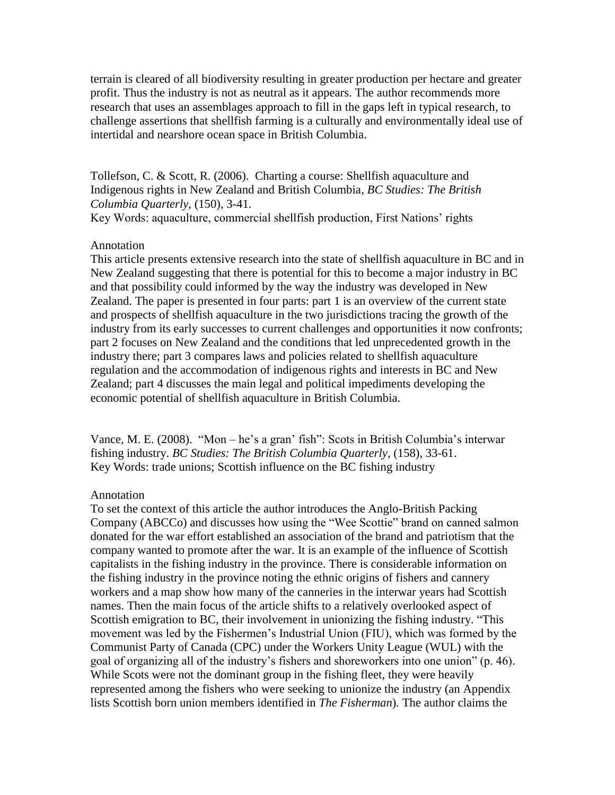terrain is cleared of all biodiversity resulting in greater production per hectare and greater profit. Thus the industry is not as neutral as it appears. The author recommends more research that uses an assemblages approach to fill in the gaps left in typical research, to challenge assertions that shellfish farming is a culturally and environmentally ideal use of intertidal and nearshore ocean space in British Columbia.

Tollefson, C. & Scott, R. (2006). Charting a course: Shellfish aquaculture and Indigenous rights in New Zealand and British Columbia, *BC Studies: The British Columbia Quarterly*, (150), 3-41.

Key Words: aquaculture, commercial shellfish production, First Nations' rights

# Annotation

This article presents extensive research into the state of shellfish aquaculture in BC and in New Zealand suggesting that there is potential for this to become a major industry in BC and that possibility could informed by the way the industry was developed in New Zealand. The paper is presented in four parts: part 1 is an overview of the current state and prospects of shellfish aquaculture in the two jurisdictions tracing the growth of the industry from its early successes to current challenges and opportunities it now confronts; part 2 focuses on New Zealand and the conditions that led unprecedented growth in the industry there; part 3 compares laws and policies related to shellfish aquaculture regulation and the accommodation of indigenous rights and interests in BC and New Zealand; part 4 discusses the main legal and political impediments developing the economic potential of shellfish aquaculture in British Columbia.

Vance, M. E. (2008). "Mon – he's a gran' fish": Scots in British Columbia's interwar fishing industry. *BC Studies: The British Columbia Quarterly*, (158), 33-61. Key Words: trade unions; Scottish influence on the BC fishing industry

# Annotation

To set the context of this article the author introduces the Anglo-British Packing Company (ABCCo) and discusses how using the "Wee Scottie" brand on canned salmon donated for the war effort established an association of the brand and patriotism that the company wanted to promote after the war. It is an example of the influence of Scottish capitalists in the fishing industry in the province. There is considerable information on the fishing industry in the province noting the ethnic origins of fishers and cannery workers and a map show how many of the canneries in the interwar years had Scottish names. Then the main focus of the article shifts to a relatively overlooked aspect of Scottish emigration to BC, their involvement in unionizing the fishing industry. "This movement was led by the Fishermen's Industrial Union (FIU), which was formed by the Communist Party of Canada (CPC) under the Workers Unity League (WUL) with the goal of organizing all of the industry's fishers and shoreworkers into one union" (p. 46). While Scots were not the dominant group in the fishing fleet, they were heavily represented among the fishers who were seeking to unionize the industry (an Appendix lists Scottish born union members identified in *The Fisherman*)*.* The author claims the